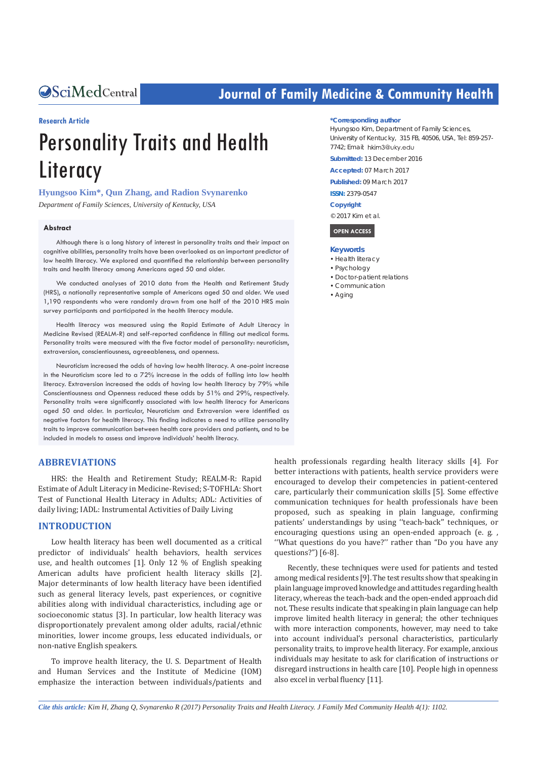# **CALCERT CONFIDENTIAL CONTROLLER COMMUNITY Health**

#### **Research Article**

# Personality Traits and Health **Literacy**

# **Hyungsoo Kim\*, Qun Zhang, and Radion Svynarenko**

*Department of Family Sciences, University of Kentucky, USA*

#### **Abstract**

Although there is a long history of interest in personality traits and their impact on cognitive abilities, personality traits have been overlooked as an important predictor of low health literacy. We explored and quantified the relationship between personality traits and health literacy among Americans aged 50 and older.

We conducted analyses of 2010 data from the Health and Retirement Study (HRS), a nationally representative sample of Americans aged 50 and older. We used 1,190 respondents who were randomly drawn from one half of the 2010 HRS main survey participants and participated in the health literacy module.

Health literacy was measured using the Rapid Estimate of Adult Literacy in Medicine Revised (REALM-R) and self-reported confidence in filling out medical forms. Personality traits were measured with the five factor model of personality: neuroticism, extraversion, conscientiousness, agreeableness, and openness.

Neuroticism increased the odds of having low health literacy. A one-point increase in the Neuroticism score led to a 72% increase in the odds of falling into low health literacy. Extraversion increased the odds of having low health literacy by 79% while Conscientiousness and Openness reduced these odds by 51% and 29%, respectively. Personality traits were significantly associated with low health literacy for Americans aged 50 and older. In particular, Neuroticism and Extraversion were identified as negative factors for health literacy. This finding indicates a need to utilize personality traits to improve communication between health care providers and patients, and to be included in models to assess and improve individuals' health literacy.

#### **ABBREVIATIONS**

HRS: the Health and Retirement Study; REALM-R: Rapid Estimate of Adult Literacy in Medicine-Revised; S-TOFHLA: Short Test of Functional Health Literacy in Adults; ADL: Activities of daily living; IADL: Instrumental Activities of Daily Living

# **INTRODUCTION**

Low health literacy has been well documented as a critical predictor of individuals' health behaviors, health services use, and health outcomes [1]. Only 12 % of English speaking American adults have proficient health literacy skills [2]. Major determinants of low health literacy have been identified such as general literacy levels, past experiences, or cognitive abilities along with individual characteristics, including age or socioeconomic status [3]. In particular, low health literacy was disproportionately prevalent among older adults, racial/ethnic minorities, lower income groups, less educated individuals, or non-native English speakers.

To improve health literacy, the U. S. Department of Health and Human Services and the Institute of Medicine (IOM) emphasize the interaction between individuals/patients and

#### **\*Corresponding author**

Hyungsoo Kim, Department of Family Sciences, University of Kentucky, 315 FB, 40506, USA, Tel: 859-257- 7742; Email: hkim3@uky.edu

**Submitted:** 13 December 2016

**Accepted:** 07 March 2017

**Published:** 09 March 2017

**ISSN:** 2379-0547

**Copyright**

© 2017 Kim et al.

 **OPEN ACCESS** 

#### **Keywords**

- Health literacy
- • Psychology
- • Doctor-patient relations
- • Communication
- • Aging

health professionals regarding health literacy skills [4]. For better interactions with patients, health service providers were encouraged to develop their competencies in patient-centered care, particularly their communication skills [5]. Some effective communication techniques for health professionals have been proposed, such as speaking in plain language, confirming patients' understandings by using ''teach-back'' techniques, or encouraging questions using an open-ended approach (e. g. , ''What questions do you have?'' rather than "Do you have any questions?") [6-8].

Recently, these techniques were used for patients and tested among medical residents [9]. The test results show that speaking in plain language improved knowledge and attitudes regarding health literacy, whereas the teach-back and the open-ended approach did not. These results indicate that speaking in plain language can help improve limited health literacy in general; the other techniques with more interaction components, however, may need to take into account individual's personal characteristics, particularly personality traits, to improve health literacy. For example, anxious individuals may hesitate to ask for clarification of instructions or disregard instructions in health care [10]. People high in openness also excel in verbal fluency [11].

*Cite this article: Kim H, Zhang Q, Svynarenko R (2017) Personality Traits and Health Literacy. J Family Med Community Health 4(1): 1102.*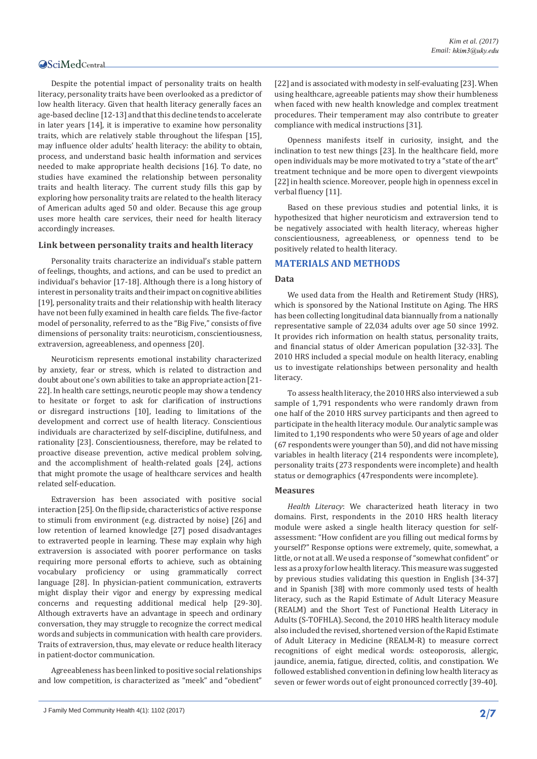Despite the potential impact of personality traits on health literacy, personality traits have been overlooked as a predictor of low health literacy. Given that health literacy generally faces an age-based decline [12-13] and that this decline tends to accelerate in later years [14], it is imperative to examine how personality traits, which are relatively stable throughout the lifespan [15], may influence older adults' health literacy: the ability to obtain, process, and understand basic health information and services needed to make appropriate health decisions [16]. To date, no studies have examined the relationship between personality traits and health literacy. The current study fills this gap by exploring how personality traits are related to the health literacy of American adults aged 50 and older. Because this age group uses more health care services, their need for health literacy accordingly increases.

#### **Link between personality traits and health literacy**

Personality traits characterize an individual's stable pattern of feelings, thoughts, and actions, and can be used to predict an individual's behavior [17-18]. Although there is a long history of interest in personality traits and their impact on cognitive abilities [19], personality traits and their relationship with health literacy have not been fully examined in health care fields. The five-factor model of personality, referred to as the "Big Five," consists of five dimensions of personality traits: neuroticism, conscientiousness, extraversion, agreeableness, and openness [20].

Neuroticism represents emotional instability characterized by anxiety, fear or stress, which is related to distraction and doubt about one's own abilities to take an appropriate action [21- 22]. In health care settings, neurotic people may show a tendency to hesitate or forget to ask for clarification of instructions or disregard instructions [10], leading to limitations of the development and correct use of health literacy. Conscientious individuals are characterized by self-discipline, dutifulness, and rationality [23]. Conscientiousness, therefore, may be related to proactive disease prevention, active medical problem solving, and the accomplishment of health-related goals [24], actions that might promote the usage of healthcare services and health related self-education.

Extraversion has been associated with positive social interaction [25]. On the flip side, characteristics of active response to stimuli from environment (e.g. distracted by noise) [26] and low retention of learned knowledge [27] posed disadvantages to extraverted people in learning. These may explain why high extraversion is associated with poorer performance on tasks requiring more personal efforts to achieve, such as obtaining vocabulary proficiency or using grammatically correct language [28]. In physician-patient communication, extraverts might display their vigor and energy by expressing medical concerns and requesting additional medical help [29-30]. Although extraverts have an advantage in speech and ordinary conversation, they may struggle to recognize the correct medical words and subjects in communication with health care providers. Traits of extraversion, thus, may elevate or reduce health literacy in patient-doctor communication.

Agreeableness has been linked to positive social relationships and low competition, is characterized as "meek" and "obedient"

J Family Med Community Health 4(1): 1102 (2017) **2/7**

[22] and is associated with modesty in self-evaluating [23]. When using healthcare, agreeable patients may show their humbleness when faced with new health knowledge and complex treatment procedures. Their temperament may also contribute to greater compliance with medical instructions [31].

Openness manifests itself in curiosity, insight, and the inclination to test new things [23]. In the healthcare field, more open individuals may be more motivated to try a "state of the art" treatment technique and be more open to divergent viewpoints [22] in health science. Moreover, people high in openness excel in verbal fluency [11].

Based on these previous studies and potential links, it is hypothesized that higher neuroticism and extraversion tend to be negatively associated with health literacy, whereas higher conscientiousness, agreeableness, or openness tend to be positively related to health literacy.

# **MATERIALS AND METHODS**

#### **Data**

We used data from the Health and Retirement Study (HRS), which is sponsored by the National Institute on Aging. The HRS has been collecting longitudinal data biannually from a nationally representative sample of 22,034 adults over age 50 since 1992. It provides rich information on health status, personality traits, and financial status of older American population [32-33]. The 2010 HRS included a special module on health literacy, enabling us to investigate relationships between personality and health literacy.

To assess health literacy, the 2010 HRS also interviewed a sub sample of 1,791 respondents who were randomly drawn from one half of the 2010 HRS survey participants and then agreed to participate in the health literacy module. Our analytic sample was limited to 1,190 respondents who were 50 years of age and older (67 respondents were younger than 50), and did not have missing variables in health literacy (214 respondents were incomplete), personality traits (273 respondents were incomplete) and health status or demographics (47respondents were incomplete).

#### **Measures**

*Health Literacy*: We characterized heath literacy in two domains. First, respondents in the 2010 HRS health literacy module were asked a single health literacy question for selfassessment: "How confident are you filling out medical forms by yourself?" Response options were extremely, quite, somewhat, a little, or not at all. We used a response of "somewhat confident" or less as a proxy for low health literacy. This measure was suggested by previous studies validating this question in English [34-37] and in Spanish [38] with more commonly used tests of health literacy, such as the Rapid Estimate of Adult Literacy Measure (REALM) and the Short Test of Functional Health Literacy in Adults (S-TOFHLA). Second, the 2010 HRS health literacy module also included the revised, shortened version of the Rapid Estimate of Adult Literacy in Medicine (REALM-R) to measure correct recognitions of eight medical words: osteoporosis, allergic, jaundice, anemia, fatigue, directed, colitis, and constipation. We followed established convention in defining low health literacy as seven or fewer words out of eight pronounced correctly [39-40].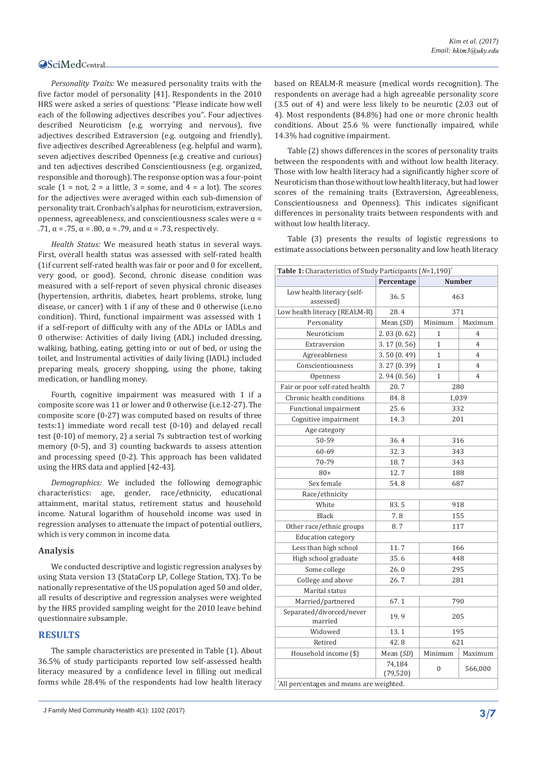*Personality Traits:* We measured personality traits with the five factor model of personality [41]. Respondents in the 2010 HRS were asked a series of questions: "Please indicate how well each of the following adjectives describes you". Four adjectives described Neuroticism (e.g. worrying and nervous), five adjectives described Extraversion (e.g. outgoing and friendly), five adjectives described Agreeableness (e.g. helpful and warm), seven adjectives described Openness (e.g. creative and curious) and ten adjectives described Conscientiousness (e.g. organized, responsible and thorough). The response option was a four-point scale  $(1 = not, 2 = a$  little,  $3 = some$ , and  $4 = a$  lot). The scores for the adjectives were averaged within each sub-dimension of personality trait. Cronbach's alphas for neuroticism, extraversion, openness, agreeableness, and conscientiousness scales were α = .71,  $\alpha$  = .75,  $\alpha$  = .80,  $\alpha$  = .79, and  $\alpha$  = .73, respectively.

*Health Status:* We measured heath status in several ways. First, overall health status was assessed with self-rated health (1if current self-rated health was fair or poor and 0 for excellent, very good, or good). Second, chronic disease condition was measured with a self-report of seven physical chronic diseases (hypertension, arthritis, diabetes, heart problems, stroke, lung disease, or cancer) with 1 if any of these and 0 otherwise (i.e.no condition). Third, functional impairment was assessed with 1 if a self-report of difficulty with any of the ADLs or IADLs and 0 otherwise: Activities of daily living (ADL) included dressing, walking, bathing, eating, getting into or out of bed, or using the toilet, and Instrumental activities of daily living (IADL) included preparing meals, grocery shopping, using the phone, taking medication, or handling money.

Fourth, cognitive impairment was measured with 1 if a composite score was 11 or lower and 0 otherwise (i.e.12-27). The composite score (0-27) was computed based on results of three tests:1) immediate word recall test (0-10) and delayed recall test (0-10) of memory, 2) a serial 7s subtraction test of working memory (0-5), and 3) counting backwards to assess attention and processing speed (0-2). This approach has been validated using the HRS data and applied [42-43].

*Demographics:* We included the following demographic characteristics: age, gender, race/ethnicity, educational attainment, marital status, retirement status and household income. Natural logarithm of household income was used in regression analyses to attenuate the impact of potential outliers, which is very common in income data.

#### **Analysis**

We conducted descriptive and logistic regression analyses by using Stata version 13 (StataCorp LP, College Station, TX). To be nationally representative of the US population aged 50 and older, all results of descriptive and regression analyses were weighted by the HRS provided sampling weight for the 2010 leave behind questionnaire subsample.

# **RESULTS**

The sample characteristics are presented in Table (1). About 36.5% of study participants reported low self-assessed health literacy measured by a confidence level in filling out medical forms while 28.4% of the respondents had low health literacy

based on REALM-R measure (medical words recognition). The respondents on average had a high agreeable personality score (3.5 out of 4) and were less likely to be neurotic (2.03 out of 4). Most respondents (84.8%) had one or more chronic health conditions. About 25.6 % were functionally impaired, while 14.3% had cognitive impairment.

Table (2) shows differences in the scores of personality traits between the respondents with and without low health literacy. Those with low health literacy had a significantly higher score of Neuroticism than those without low health literacy, but had lower scores of the remaining traits (Extraversion, Agreeableness, Conscientiousness and Openness). This indicates significant differences in personality traits between respondents with and without low health literacy.

Table (3) presents the results of logistic regressions to estimate associations between personality and low heath literacy

| <b>Table 1:</b> Characteristics of Study Participants $(N=1,190)^*$ |                     |                                |               |  |  |  |  |
|---------------------------------------------------------------------|---------------------|--------------------------------|---------------|--|--|--|--|
|                                                                     | Percentage          |                                | <b>Number</b> |  |  |  |  |
| Low health literacy (self-<br>assessed)                             | 36.5                | 463                            |               |  |  |  |  |
| Low health literacy (REALM-R)                                       | 28.4                | 371                            |               |  |  |  |  |
| Personality                                                         | Mean (SD)           | Minimum                        | Maximum       |  |  |  |  |
| Neuroticism                                                         | 2.03(0.62)          | 1<br>4                         |               |  |  |  |  |
| Extraversion                                                        | 3.17(0.56)          | $\mathbf{1}$<br>$\overline{4}$ |               |  |  |  |  |
| Agreeableness                                                       | 3.50(0.49)          | 1<br>$\overline{4}$            |               |  |  |  |  |
| Conscientiousness                                                   | 3.27 (0.39)         | $\mathbf{1}$<br>$\overline{4}$ |               |  |  |  |  |
| Openness                                                            | 2.94(0.56)          | 1<br>4                         |               |  |  |  |  |
| Fair or poor self-rated health                                      | 20.7                | 280                            |               |  |  |  |  |
| Chronic health conditions                                           | 84.8                | 1,039                          |               |  |  |  |  |
| Functional impairment                                               | 25.6                | 332                            |               |  |  |  |  |
| Cognitive impairment                                                | 14.3                | 201                            |               |  |  |  |  |
| Age category                                                        |                     |                                |               |  |  |  |  |
| 50-59                                                               | 36.4                | 316                            |               |  |  |  |  |
| 60-69                                                               | 32.3                | 343                            |               |  |  |  |  |
| 70-79                                                               | 18.7                | 343                            |               |  |  |  |  |
| $80+$                                                               | 12.7                | 188                            |               |  |  |  |  |
| Sex female                                                          | 54.8                | 687                            |               |  |  |  |  |
| Race/ethnicity                                                      |                     |                                |               |  |  |  |  |
| White                                                               | 83.5                | 918                            |               |  |  |  |  |
| <b>Black</b>                                                        | 7.8                 | 155                            |               |  |  |  |  |
| Other race/ethnic groups                                            | 8.7                 | 117                            |               |  |  |  |  |
| <b>Education</b> category                                           |                     |                                |               |  |  |  |  |
| Less than high school                                               | 11.7                | 166                            |               |  |  |  |  |
| High school graduate                                                | 35.6                | 448                            |               |  |  |  |  |
| Some college                                                        | 26.0                | 295                            |               |  |  |  |  |
| College and above                                                   | 26.7                | 281                            |               |  |  |  |  |
| Marital status                                                      |                     |                                |               |  |  |  |  |
| Married/partnered                                                   | 67.1                | 790                            |               |  |  |  |  |
| Separated/divorced/never                                            | 19.9                | 205                            |               |  |  |  |  |
| married                                                             |                     |                                |               |  |  |  |  |
| Widowed                                                             | 13.1                | 195                            |               |  |  |  |  |
| Retired                                                             | 42.8                | 621                            |               |  |  |  |  |
| Household income (\$)                                               | Mean (SD)           | Minimum                        | Maximum       |  |  |  |  |
|                                                                     | 74,184<br>(79, 520) | $\boldsymbol{0}$               | 566,000       |  |  |  |  |
| All percentages and means are weighted.                             |                     |                                |               |  |  |  |  |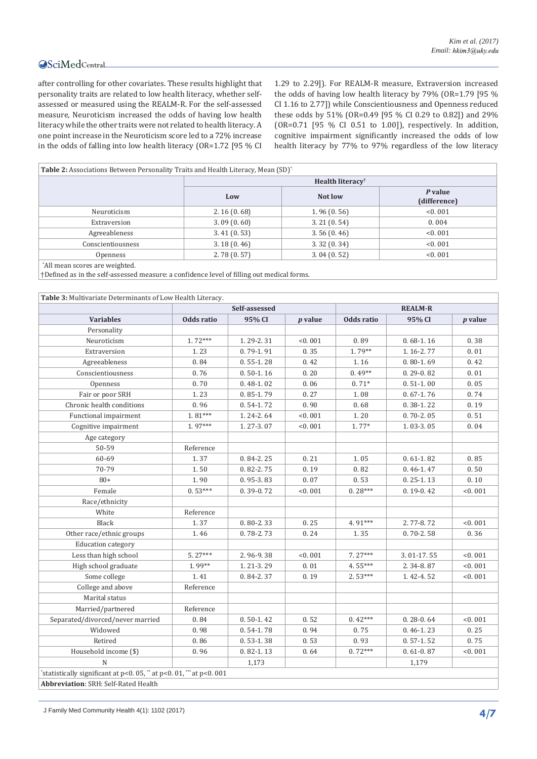after controlling for other covariates. These results highlight that personality traits are related to low health literacy, whether selfassessed or measured using the REALM-R. For the self-assessed measure, Neuroticism increased the odds of having low health literacy while the other traits were not related to health literacy. A one point increase in the Neuroticism score led to a 72% increase in the odds of falling into low health literacy (OR=1.72 [95 % CI

1.29 to 2.29]). For REALM-R measure, Extraversion increased the odds of having low health literacy by 79% (OR=1.79 [95 % CI 1.16 to 2.77]) while Conscientiousness and Openness reduced these odds by 51% (OR=0.49 [95 % CI 0.29 to 0.82]) and 29% (OR=0.71 [95 % CI 0.51 to 1.00]), respectively. In addition, cognitive impairment significantly increased the odds of low health literacy by 77% to 97% regardless of the low literacy

| <b>Table 2:</b> Associations Between Personality Traits and Health Literacy, Mean (SD) <sup>*</sup> |                              |            |                         |  |  |  |  |
|-----------------------------------------------------------------------------------------------------|------------------------------|------------|-------------------------|--|--|--|--|
|                                                                                                     | Health literacy <sup>†</sup> |            |                         |  |  |  |  |
|                                                                                                     | Low                          | Not low    | P value<br>(difference) |  |  |  |  |
| Neuroticism                                                                                         | 2.16(0.68)                   | 1.96(0.56) | < 0.001                 |  |  |  |  |
| Extraversion                                                                                        | 3.09(0.60)                   | 3.21(0.54) | 0.004                   |  |  |  |  |
| Agreeableness                                                                                       | 3.41(0.53)                   | 3.56(0.46) | < 0.001                 |  |  |  |  |
| Conscientiousness                                                                                   | 3.18(0.46)                   | 3.32(0.34) | < 0.001                 |  |  |  |  |
| Openness                                                                                            | 2.78(0.57)                   | 3.04(0.52) | < 0.001                 |  |  |  |  |
| *All mean scores are weighted.                                                                      |                              |            |                         |  |  |  |  |

All mean scores are weighted.

†Defined as in the self-assessed measure: a confidence level of filling out medical forms.

| Table 3: Multivariate Determinants of Low Health Literacy.       |               |               |                |            |               |           |  |  |
|------------------------------------------------------------------|---------------|---------------|----------------|------------|---------------|-----------|--|--|
|                                                                  | Self-assessed |               | <b>REALM-R</b> |            |               |           |  |  |
| <b>Variables</b>                                                 | Odds ratio    | 95% CI        | $p$ value      | Odds ratio | 95% CI        | $p$ value |  |  |
| Personality                                                      |               |               |                |            |               |           |  |  |
| Neuroticism                                                      | $1.72***$     | 1.29-2.31     | < 0.001        | 0.89       | $0.68 - 1.16$ | 0.38      |  |  |
| Extraversion                                                     | 1.23          | $0.79 - 1.91$ | 0.35           | $1.79**$   | 1.16-2.77     | 0.01      |  |  |
| Agreeableness                                                    | 0.84          | $0.55 - 1.28$ | 0.42           | 1.16       | $0.80 - 1.69$ | 0.42      |  |  |
| Conscientiousness                                                | 0.76          | $0.50 - 1.16$ | 0.20           | $0.49**$   | $0.29 - 0.82$ | 0.01      |  |  |
| Openness                                                         | 0.70          | $0.48 - 1.02$ | 0.06           | $0.71*$    | $0.51-1.00$   | 0.05      |  |  |
| Fair or poor SRH                                                 | 1.23          | $0.85 - 1.79$ | 0.27           | 1.08       | $0.67 - 1.76$ | 0.74      |  |  |
| Chronic health conditions                                        | 0.96          | $0.54 - 1.72$ | 0.90           | 0.68       | $0.38 - 1.22$ | 0.19      |  |  |
| Functional impairment                                            | $1.81***$     | 1.24-2.64     | < 0.001        | 1.20       | $0.70 - 2.05$ | 0.51      |  |  |
| Cognitive impairment                                             | 1.97***       | 1.27-3.07     | < 0.001        | $1.77*$    | 1.03-3.05     | 0.04      |  |  |
| Age category                                                     |               |               |                |            |               |           |  |  |
| 50-59                                                            | Reference     |               |                |            |               |           |  |  |
| 60-69                                                            | 1.37          | $0.84 - 2.25$ | 0.21           | 1.05       | $0.61 - 1.82$ | 0.85      |  |  |
| 70-79                                                            | 1.50          | 0.82-2.75     | 0.19           | 0.82       | $0.46 - 1.47$ | 0.50      |  |  |
| $80+$                                                            | 1.90          | $0.95 - 3.83$ | 0.07           | 0.53       | $0.25 - 1.13$ | 0.10      |  |  |
| Female                                                           | $0.53***$     | 0.39-0.72     | < 0.001        | $0.28***$  | $0.19 - 0.42$ | < 0.001   |  |  |
| Race/ethnicity                                                   |               |               |                |            |               |           |  |  |
| White                                                            | Reference     |               |                |            |               |           |  |  |
| Black                                                            | 1.37          | $0.80 - 2.33$ | 0.25           | 4.91***    | 2.77-8.72     | < 0.001   |  |  |
| Other race/ethnic groups                                         | 1.46          | $0.78 - 2.73$ | 0.24           | 1.35       | $0.70 - 2.58$ | 0.36      |  |  |
| <b>Education</b> category                                        |               |               |                |            |               |           |  |  |
| Less than high school                                            | $5.27***$     | 2.96-9.38     | < 0.001        | 7.27***    | 3.01-17.55    | < 0.001   |  |  |
| High school graduate                                             | $1.99**$      | 1.21-3.29     | 0.01           | 4.55***    | 2.34-8.87     | < 0.001   |  |  |
| Some college                                                     | 1.41          | $0.84 - 2.37$ | 0.19           | $2.53***$  | 1.42-4.52     | < 0.001   |  |  |
| College and above                                                | Reference     |               |                |            |               |           |  |  |
| Marital status                                                   |               |               |                |            |               |           |  |  |
| Married/partnered                                                | Reference     |               |                |            |               |           |  |  |
| Separated/divorced/never married                                 | 0.84          | $0.50 - 1.42$ | 0.52           | $0.42***$  | $0.28 - 0.64$ | < 0.001   |  |  |
| Widowed                                                          | 0.98          | $0.54 - 1.78$ | 0.94           | 0.75       | $0.46 - 1.23$ | 0.25      |  |  |
| Retired                                                          | 0.86          | $0.53 - 1.38$ | 0.53           | 0.93       | $0.57 - 1.52$ | 0.75      |  |  |
| Household income (\$)                                            | 0.96          | $0.82 - 1.13$ | 0.64           | $0.72***$  | $0.61 - 0.87$ | < 0.001   |  |  |
| $\mathbb N$                                                      |               | 1,173         |                |            | 1,179         |           |  |  |
| 'statistically significant at p<0.05, " at p<0.01, "" at p<0.001 |               |               |                |            |               |           |  |  |
| Abbreviation: SRH: Self-Rated Health                             |               |               |                |            |               |           |  |  |

J Family Med Community Health 4(1): 1102 (2017) **4/7**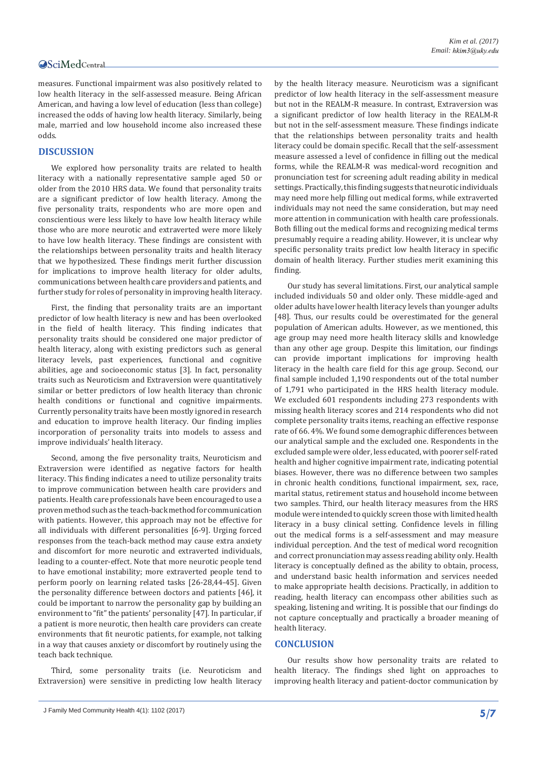measures. Functional impairment was also positively related to low health literacy in the self-assessed measure. Being African American, and having a low level of education (less than college) increased the odds of having low health literacy. Similarly, being male, married and low household income also increased these odds.

# **DISCUSSION**

We explored how personality traits are related to health literacy with a nationally representative sample aged 50 or older from the 2010 HRS data. We found that personality traits are a significant predictor of low health literacy. Among the five personality traits, respondents who are more open and conscientious were less likely to have low health literacy while those who are more neurotic and extraverted were more likely to have low health literacy. These findings are consistent with the relationships between personality traits and health literacy that we hypothesized. These findings merit further discussion for implications to improve health literacy for older adults, communications between health care providers and patients, and further study for roles of personality in improving health literacy.

First, the finding that personality traits are an important predictor of low health literacy is new and has been overlooked in the field of health literacy. This finding indicates that personality traits should be considered one major predictor of health literacy, along with existing predictors such as general literacy levels, past experiences, functional and cognitive abilities, age and socioeconomic status [3]. In fact, personality traits such as Neuroticism and Extraversion were quantitatively similar or better predictors of low health literacy than chronic health conditions or functional and cognitive impairments. Currently personality traits have been mostly ignored in research and education to improve health literacy. Our finding implies incorporation of personality traits into models to assess and improve individuals' health literacy.

Second, among the five personality traits, Neuroticism and Extraversion were identified as negative factors for health literacy. This finding indicates a need to utilize personality traits to improve communication between health care providers and patients. Health care professionals have been encouraged to use a proven method such as the teach-back method for communication with patients. However, this approach may not be effective for all individuals with different personalities [6-9]. Urging forced responses from the teach-back method may cause extra anxiety and discomfort for more neurotic and extraverted individuals, leading to a counter-effect. Note that more neurotic people tend to have emotional instability; more extraverted people tend to perform poorly on learning related tasks [26-28,44-45]. Given the personality difference between doctors and patients [46], it could be important to narrow the personality gap by building an environment to "fit" the patients' personality [47]. In particular, if a patient is more neurotic, then health care providers can create environments that fit neurotic patients, for example, not talking in a way that causes anxiety or discomfort by routinely using the teach back technique.

Third, some personality traits (i.e. Neuroticism and Extraversion) were sensitive in predicting low health literacy

by the health literacy measure. Neuroticism was a significant predictor of low health literacy in the self-assessment measure but not in the REALM-R measure. In contrast, Extraversion was a significant predictor of low health literacy in the REALM-R but not in the self-assessment measure. These findings indicate that the relationships between personality traits and health literacy could be domain specific. Recall that the self-assessment measure assessed a level of confidence in filling out the medical forms, while the REALM-R was medical-word recognition and pronunciation test for screening adult reading ability in medical settings. Practically, this finding suggests that neurotic individuals may need more help filling out medical forms, while extraverted individuals may not need the same consideration, but may need more attention in communication with health care professionals. Both filling out the medical forms and recognizing medical terms presumably require a reading ability. However, it is unclear why specific personality traits predict low health literacy in specific domain of health literacy. Further studies merit examining this finding.

Our study has several limitations. First, our analytical sample included individuals 50 and older only. These middle-aged and older adults have lower health literacy levels than younger adults [48]. Thus, our results could be overestimated for the general population of American adults. However, as we mentioned, this age group may need more health literacy skills and knowledge than any other age group. Despite this limitation, our findings can provide important implications for improving health literacy in the health care field for this age group. Second, our final sample included 1,190 respondents out of the total number of 1,791 who participated in the HRS health literacy module. We excluded 601 respondents including 273 respondents with missing health literacy scores and 214 respondents who did not complete personality traits items, reaching an effective response rate of 66. 4%. We found some demographic differences between our analytical sample and the excluded one. Respondents in the excluded sample were older, less educated, with poorer self-rated health and higher cognitive impairment rate, indicating potential biases. However, there was no difference between two samples in chronic health conditions, functional impairment, sex, race, marital status, retirement status and household income between two samples. Third, our health literacy measures from the HRS module were intended to quickly screen those with limited health literacy in a busy clinical setting. Confidence levels in filling out the medical forms is a self-assessment and may measure individual perception. And the test of medical word recognition and correct pronunciation may assess reading ability only. Health literacy is conceptually defined as the ability to obtain, process, and understand basic health information and services needed to make appropriate health decisions. Practically, in addition to reading, health literacy can encompass other abilities such as speaking, listening and writing. It is possible that our findings do not capture conceptually and practically a broader meaning of health literacy.

# **CONCLUSION**

Our results show how personality traits are related to health literacy. The findings shed light on approaches to improving health literacy and patient-doctor communication by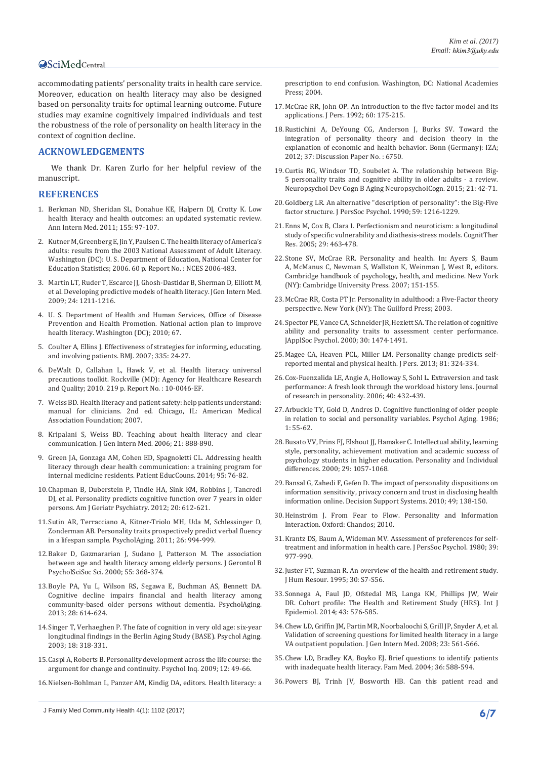accommodating patients' personality traits in health care service. Moreover, education on health literacy may also be designed based on personality traits for optimal learning outcome. Future studies may examine cognitively impaired individuals and test the robustness of the role of personality on health literacy in the context of cognition decline.

# **ACKNOWLEDGEMENTS**

We thank Dr. Karen Zurlo for her helpful review of the manuscript.

#### **REFERENCES**

- 1. [Berkman ND, Sheridan SL, Donahue KE, Halpern DJ, Crotty K. Low](https://www.ncbi.nlm.nih.gov/pubmed/21768583)  [health literacy and health outcomes: an updated systematic review.](https://www.ncbi.nlm.nih.gov/pubmed/21768583)  [Ann Intern Med. 2011; 155: 97-107.](https://www.ncbi.nlm.nih.gov/pubmed/21768583)
- 2. [Kutner M, Greenberg E, Jin Y, Paulsen C. The health literacy of America's](https://nces.ed.gov/pubs2006/2006483.pdf)  [adults: results from the 2003 National Assessment of Adult Literacy.](https://nces.ed.gov/pubs2006/2006483.pdf)  [Washington \(DC\): U. S. Department of Education, National Center for](https://nces.ed.gov/pubs2006/2006483.pdf)  [Education Statistics; 2006. 60 p. Report No. : NCES 2006-483.](https://nces.ed.gov/pubs2006/2006483.pdf)
- 3. [Martin LT, Ruder T, Escarce JJ, Ghosh-Dastidar B, Sherman D, Elliott M,](https://www.ncbi.nlm.nih.gov/pubmed/19760299)  [et al. Developing predictive models of health literacy. JGen Intern Med.](https://www.ncbi.nlm.nih.gov/pubmed/19760299)  [2009; 24: 1211-1216.](https://www.ncbi.nlm.nih.gov/pubmed/19760299)
- 4. [U. S. Department of Health and Human Services, Office of Disease](https://health.gov/communication/initiatives/health-literacy-action-plan.asp)  [Prevention and Health Promotion. National action plan to improve](https://health.gov/communication/initiatives/health-literacy-action-plan.asp)  [health literacy. Washington \(DC\); 2010; 67.](https://health.gov/communication/initiatives/health-literacy-action-plan.asp)
- 5. [Coulter A, Ellins J. Effectiveness of strategies for informing, educating,](https://www.ncbi.nlm.nih.gov/pubmed/17615222)  [and involving patients. BMJ. 2007; 335: 24-27.](https://www.ncbi.nlm.nih.gov/pubmed/17615222)
- 6. DeWalt D, Callahan L, Hawk V, et al. Health literacy universal precautions toolkit. Rockville (MD): Agency for Healthcare Research and Quality; 2010. 219 p. Report No. : 10-0046-EF.
- 7. [Weiss BD. Health literacy and patient safety: help patients understand:](http://med.fsu.edu/userFiles/file/ahec_health_clinicians_manual.pdf)  [manual for clinicians. 2nd ed. Chicago, IL: American Medical](http://med.fsu.edu/userFiles/file/ahec_health_clinicians_manual.pdf)  [Association Foundation; 2007.](http://med.fsu.edu/userFiles/file/ahec_health_clinicians_manual.pdf)
- 8. [Kripalani S, Weiss BD. Teaching about health literacy and clear](https://www.ncbi.nlm.nih.gov/pmc/articles/PMC1831575/)  [communication. J Gen Intern Med. 2006; 21: 888-890.](https://www.ncbi.nlm.nih.gov/pmc/articles/PMC1831575/)
- 9. [Green JA, Gonzaga AM, Cohen ED, Spagnoletti CL. Addressing health](https://www.ncbi.nlm.nih.gov/pubmed/24492156)  [literacy through clear health communication: a training program for](https://www.ncbi.nlm.nih.gov/pubmed/24492156)  [internal medicine residents. Patient EducCouns. 2014; 95: 76-82.](https://www.ncbi.nlm.nih.gov/pubmed/24492156)
- 10.[Chapman B, Duberstein P, Tindle HA, Sink KM, Robbins J, Tancredi](https://www.ncbi.nlm.nih.gov/pubmed/22735597)  [DJ, et al. Personality predicts cognitive function over 7 years in older](https://www.ncbi.nlm.nih.gov/pubmed/22735597)  [persons. Am J Geriatr Psychiatry. 2012; 20: 612-621.](https://www.ncbi.nlm.nih.gov/pubmed/22735597)
- 11.[Sutin AR, Terracciano A, Kitner-Triolo MH, Uda M, Schlessinger D,](https://www.ncbi.nlm.nih.gov/pubmed/21707179)  [Zonderman AB. Personality traits prospectively predict verbal fluency](https://www.ncbi.nlm.nih.gov/pubmed/21707179)  [in a lifespan sample. PsycholAging. 2011; 26: 994-999.](https://www.ncbi.nlm.nih.gov/pubmed/21707179)
- 12.[Baker D, Gazmararian J, Sudano J, Patterson M. The association](https://www.ncbi.nlm.nih.gov/pubmed/21707179)  [between age and health literacy among elderly persons. J Gerontol B](https://www.ncbi.nlm.nih.gov/pubmed/21707179)  [PsycholSciSoc Sci. 2000; 55: 368-374.](https://www.ncbi.nlm.nih.gov/pubmed/21707179)
- 13.[Boyle PA, Yu L, Wilson RS, Segawa E, Buchman AS, Bennett DA.](https://www.ncbi.nlm.nih.gov/pubmed/23957225)  [Cognitive decline impairs financial and health literacy among](https://www.ncbi.nlm.nih.gov/pubmed/23957225)  [community-based older persons without dementia. PsycholAging.](https://www.ncbi.nlm.nih.gov/pubmed/23957225)  [2013; 28: 614-624.](https://www.ncbi.nlm.nih.gov/pubmed/23957225)
- 14.[Singer T, Verhaeghen P. The fate of cognition in very old age: six-year](https://www.ncbi.nlm.nih.gov/pubmed/12825779)  [longitudinal findings in the Berlin Aging Study \(BASE\). Psychol Aging.](https://www.ncbi.nlm.nih.gov/pubmed/12825779)  [2003; 18: 318-331.](https://www.ncbi.nlm.nih.gov/pubmed/12825779)
- 15.[Caspi A, Roberts B. Personality development across the life course: the](https://www.jstor.org/stable/1449487?seq=1#page_scan_tab_contents)  [argument for change and continuity. Psychol Inq. 2009; 12: 49-66.](https://www.jstor.org/stable/1449487?seq=1#page_scan_tab_contents)
- 16.[Nielsen-Bohlman L, Panzer AM, Kindig DA, editors. Health literacy: a](https://www.nap.edu/catalog/10883/health-literacy-a-prescription-to-end-confusion)

[prescription to end confusion. Washington, DC: National Academies](https://www.nap.edu/catalog/10883/health-literacy-a-prescription-to-end-confusion)  [Press; 2004.](https://www.nap.edu/catalog/10883/health-literacy-a-prescription-to-end-confusion)

- 17.[McCrae RR, John OP. An introduction to the five factor model and its](https://www.ncbi.nlm.nih.gov/pubmed/1635039)  [applications. J Pers. 1992; 60: 175-215.](https://www.ncbi.nlm.nih.gov/pubmed/1635039)
- 18.[Rustichini A, DeYoung CG, Anderson J, Burks SV. Toward the](http://ftp.iza.org/dp6750.pdf)  [integration of personality theory and decision theory in the](http://ftp.iza.org/dp6750.pdf)  [explanation of economic and health behavior. Bonn \(Germany\): IZA;](http://ftp.iza.org/dp6750.pdf)  [2012; 37: Discussion Paper No. : 6750.](http://ftp.iza.org/dp6750.pdf)
- 19.[Curtis RG, Windsor TD, Soubelet A. The relationship between Big-](https://www.ncbi.nlm.nih.gov/pubmed/24580119)[5 personality traits and cognitive ability in older adults - a review.](https://www.ncbi.nlm.nih.gov/pubmed/24580119)  [Neuropsychol Dev Cogn B Aging NeuropsycholCogn. 2015; 21: 42-71](https://www.ncbi.nlm.nih.gov/pubmed/24580119).
- 20.[Goldberg LR. An alternative "description of personality": the Big-Five](https://www.ncbi.nlm.nih.gov/pubmed/2283588)  [factor structure. J PersSoc Psychol. 1990; 59: 1216-1229.](https://www.ncbi.nlm.nih.gov/pubmed/2283588)
- 21.[Enns M, Cox B, Clara I. Perfectionism and neuroticism: a longitudinal](https://link.springer.com/article/10.1007/s10608-005-2843-04)  [study of specific vulnerability and diathesis-stress models. CognitTher](https://link.springer.com/article/10.1007/s10608-005-2843-04)  [Res. 2005; 29: 463-478.](https://link.springer.com/article/10.1007/s10608-005-2843-04)
- 22.[Stone SV, McCrae RR. Personality and health. In: Ayers S, Baum](http://assets.cambridge.org/97805218/79972/frontmatter/9780521879972_frontmatter.pdf)  [A, McManus C, Newman S, Wallston K, Weinman J, West R, editors.](http://assets.cambridge.org/97805218/79972/frontmatter/9780521879972_frontmatter.pdf)  [Cambridge handbook of psychology, health, and medicine. New York](http://assets.cambridge.org/97805218/79972/frontmatter/9780521879972_frontmatter.pdf)  [\(NY\): Cambridge University Press. 2007; 151-155.](http://assets.cambridge.org/97805218/79972/frontmatter/9780521879972_frontmatter.pdf)
- 23.[McCrae RR, Costa PT Jr. Personality in adulthood: a Five-Factor theory](http://www.guilford.com/books/Personality-in-Adulthood/McCrae-Costa/9781593852603/authors)  [perspective. New York \(NY\): The Guilford Press; 2003.](http://www.guilford.com/books/Personality-in-Adulthood/McCrae-Costa/9781593852603/authors)
- 24.[Spector PE, Vance CA, Schneider JR, Hezlett SA. The relation of cognitive](http://onlinelibrary.wiley.com/doi/10.1111/j.1559-1816.2000.tb02531.x/abstract)  [ability and personality traits to assessment center performance.](http://onlinelibrary.wiley.com/doi/10.1111/j.1559-1816.2000.tb02531.x/abstract)  [JApplSoc Psychol. 2000; 30: 1474-1491.](http://onlinelibrary.wiley.com/doi/10.1111/j.1559-1816.2000.tb02531.x/abstract)
- 25.[Magee CA, Heaven PCL, Miller LM. Personality change predicts self](http://ro.uow.edu.au/cgi/viewcontent.cgi?article=1300&context=sspapers)[reported mental and physical health. J Pers. 2013; 81: 324-334.](http://ro.uow.edu.au/cgi/viewcontent.cgi?article=1300&context=sspapers)
- 26.[Cox-Fuenzalida LE, Angie A, Holloway S, Sohl L. Extraversion and task](http://www.sciencedirect.com/science/article/pii/S0092656606000092)  [performance: A fresh look through the workload history lens. Journal](http://www.sciencedirect.com/science/article/pii/S0092656606000092)  [of research in personality. 2006; 40: 432-439.](http://www.sciencedirect.com/science/article/pii/S0092656606000092)
- 27.[Arbuckle TY, Gold D, Andres D. Cognitive functioning of older people](https://www.ncbi.nlm.nih.gov/pubmed/3267380)  [in relation to social and personality variables. Psychol Aging. 1986;](https://www.ncbi.nlm.nih.gov/pubmed/3267380)  [1: 55-62.](https://www.ncbi.nlm.nih.gov/pubmed/3267380)
- 28.[Busato VV, Prins FJ, Elshout JJ, Hamaker C. Intellectual ability, learning](http://www.sciencedirect.com/science/article/pii/S0191886999002536)  [style, personality, achievement motivation and academic success of](http://www.sciencedirect.com/science/article/pii/S0191886999002536)  [psychology students in higher education. Personality and Individual](http://www.sciencedirect.com/science/article/pii/S0191886999002536)  [differences. 2000; 29: 1057-1068.](http://www.sciencedirect.com/science/article/pii/S0191886999002536)
- 29.[Bansal G, Zahedi F, Gefen D. The impact of personality dispositions on](http://dl.acm.org/citation.cfm?id=1775048)  [information sensitivity, privacy concern and trust in disclosing health](http://dl.acm.org/citation.cfm?id=1775048)  [information online. Decision Support Systems. 2010; 49; 138-150.](http://dl.acm.org/citation.cfm?id=1775048)
- 30.[Heinström J. From Fear to Flow. Personality and Information](https://www.elsevier.com/books/from-fear-to-flow/heinstrom/978-1-84334-513-8)  [Interaction. Oxford: Chandos; 2010.](https://www.elsevier.com/books/from-fear-to-flow/heinstrom/978-1-84334-513-8)
- 31.[Krantz DS, Baum A, Wideman MV. Assessment of preferences for self](https://www.ncbi.nlm.nih.gov/pubmed/7441487)[treatment and information in health care. J PersSoc Psychol. 1980; 39:](https://www.ncbi.nlm.nih.gov/pubmed/7441487)  [977-990.](https://www.ncbi.nlm.nih.gov/pubmed/7441487)
- 32.[Juster FT, Suzman R. An overview of the health and retirement study.](https://www.jstor.org/stable/146277?seq=1#page_scan_tab_contents)  [J Hum Resour. 1995; 30: S7-S56.](https://www.jstor.org/stable/146277?seq=1#page_scan_tab_contents)
- 33.[Sonnega A, Faul JD, Ofstedal MB, Langa KM, Phillips JW, Weir](https://www.ncbi.nlm.nih.gov/pubmed/24671021)  [DR. Cohort profile: The Health and Retirement Study \(HRS\). Int J](https://www.ncbi.nlm.nih.gov/pubmed/24671021)  [Epidemiol. 2014; 43: 576-585.](https://www.ncbi.nlm.nih.gov/pubmed/24671021)
- 34.[Chew LD, Griffin JM, Partin MR, Noorbaloochi S, Grill JP, Snyder A, et al.](https://www.ncbi.nlm.nih.gov/pubmed/18335281)  [Validation of screening questions for limited health literacy in a large](https://www.ncbi.nlm.nih.gov/pubmed/18335281)  [VA outpatient population. J Gen Intern Med. 2008; 23: 561-566.](https://www.ncbi.nlm.nih.gov/pubmed/18335281)
- 35.[Chew LD, Bradley KA, Boyko EJ. Brief questions to identify patients](https://www.ncbi.nlm.nih.gov/pubmed/15343421)  [with inadequate health literacy. Fam Med. 2004; 36: 588-594.](https://www.ncbi.nlm.nih.gov/pubmed/15343421)
- 36.[Powers BJ, Trinh JV, Bosworth HB. Can this patient read and](https://www.ncbi.nlm.nih.gov/pubmed/20606152)